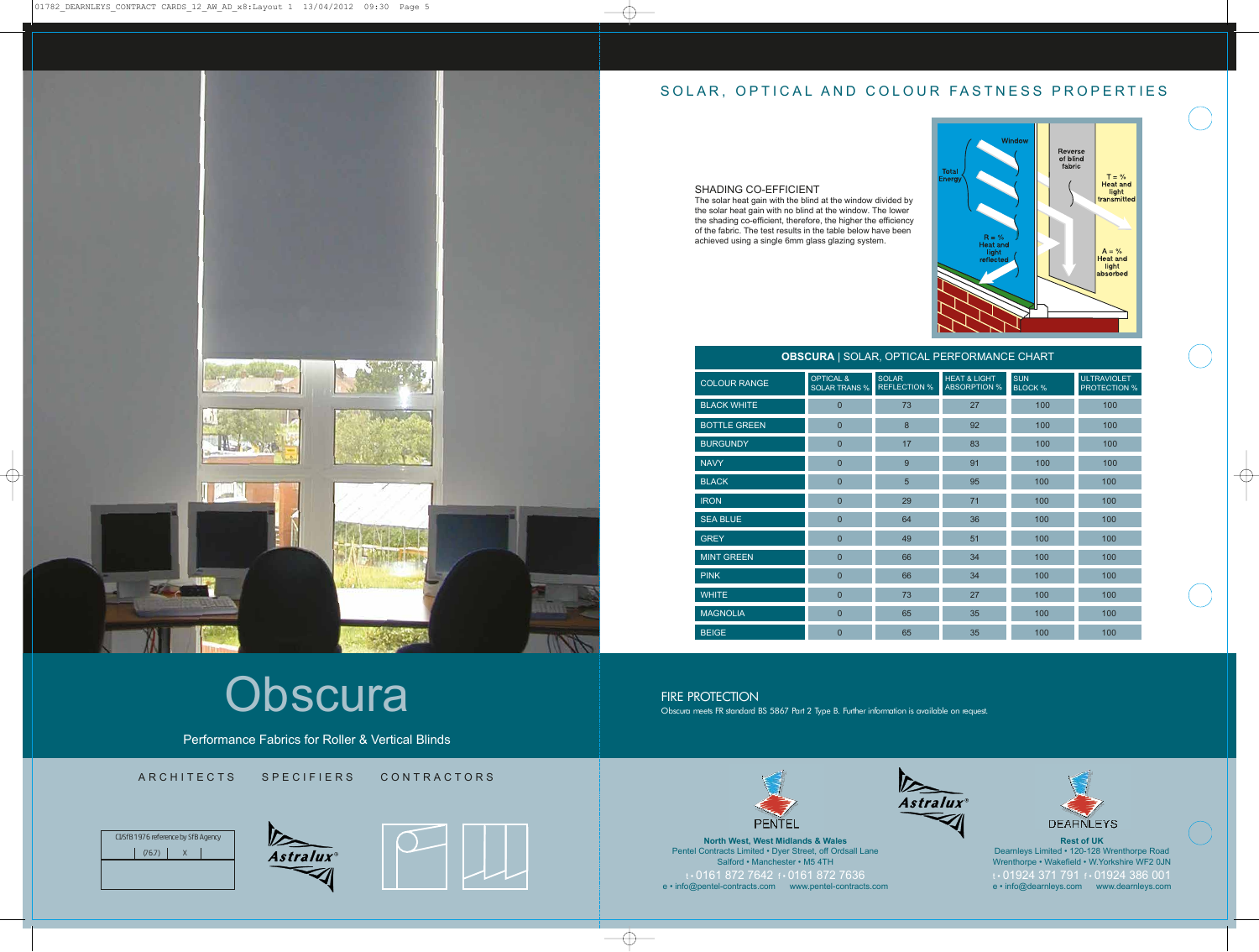

## SOLAR, OPTICAL AND COLOUR FASTNESS PROPERTIES

Performance Fabrics for Roller & Vertical Blinds

ARCHITECTS SPECIFIERS CONTRACTORS



**North West, West Midlands & Wales** Pentel Contracts Limited • Dyer Street, off Ordsall Lane Salford • Manchester • M5 4TH t • 0161 872 7642 f • 0161 872 7636 e • info@pentel-contracts.com www.pentel-contracts.com



**Rest of UK** Dearnleys Limited • 120-128 Wrenthorpe Road Wrenthorpe • Wakefield • W.Yorkshire WF2 0JN t • 01924 371 791 f • 01924 386 001 e • info@dearnleys.com www.dearnleys.com









FIRE PROTECTION<br>Obscura meets FR standard BS 5867 Part 2 Type B. Further information is available on request.





### **OBSCURA** | SOLAR, OPTICAL PERFORMANCE CHART

| <b>SPOSSIVA</b> FOOLING, OF THOME FERRICHMINICLE OF INTERFERENCE |                                              |                                     |                                                |                              |                                           |
|------------------------------------------------------------------|----------------------------------------------|-------------------------------------|------------------------------------------------|------------------------------|-------------------------------------------|
| <b>COLOUR RANGE</b>                                              | <b>OPTICAL &amp;</b><br><b>SOLAR TRANS %</b> | <b>SOLAR</b><br><b>REFLECTION %</b> | <b>HEAT &amp; LIGHT</b><br><b>ABSORPTION %</b> | <b>SUN</b><br><b>BLOCK %</b> | <b>ULTRAVIOLET</b><br><b>PROTECTION %</b> |
| <b>BLACK WHITE</b>                                               | $\Omega$                                     | 73                                  | 27                                             | 100                          | 100                                       |
| <b>BOTTLE GREEN</b>                                              | $\mathbf{0}$                                 | 8                                   | 92                                             | 100                          | 100                                       |
| <b>BURGUNDY</b>                                                  | $\mathbf{0}$                                 | 17                                  | 83                                             | 100                          | 100                                       |
| <b>NAVY</b>                                                      | $\mathbf{0}$                                 | 9                                   | 91                                             | 100                          | 100                                       |
| <b>BLACK</b>                                                     | $\mathbf{0}$                                 | $5\phantom{1}$                      | 95                                             | 100                          | 100                                       |
| <b>IRON</b>                                                      | $\mathbf{0}$                                 | 29                                  | 71                                             | 100                          | 100                                       |
| <b>SEA BLUE</b>                                                  | $\overline{0}$                               | 64                                  | 36                                             | 100                          | 100                                       |
| <b>GREY</b>                                                      | $\mathbf{0}$                                 | 49                                  | 51                                             | 100                          | 100                                       |
| <b>MINT GREEN</b>                                                | $\mathbf{0}$                                 | 66                                  | 34                                             | 100                          | 100                                       |
| <b>PINK</b>                                                      | $\mathbf{0}$                                 | 66                                  | 34                                             | 100                          | 100                                       |
| <b>WHITE</b>                                                     | $\overline{0}$                               | 73                                  | 27                                             | 100                          | 100                                       |
| <b>MAGNOLIA</b>                                                  | $\mathbf{0}$                                 | 65                                  | 35                                             | 100                          | 100                                       |
| <b>BEIGE</b>                                                     | $\overline{0}$                               | 65                                  | 35                                             | 100                          | 100                                       |

## SHADING CO-EFFICIENT

The solar heat gain with the blind at the window divided by the solar heat gain with no blind at the window. The lower the shading co-efficient, therefore, the higher the efficiency of the fabric. The test results in the table below have been achieved using a single 6mm glass glazing system.